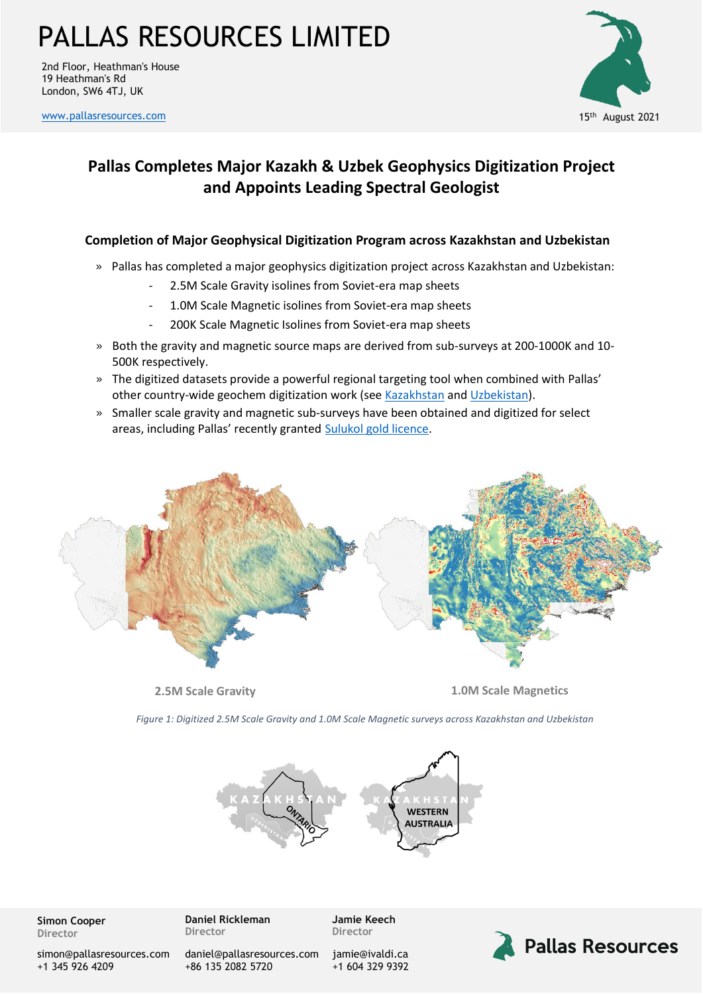### PALLAS RESOURCES LIMITED

2nd Floor, Heathman's House 19 Heathman's Rd London, SW6 4TJ, UK

[www.pallasresources.com](https://www.pallasresources.com/) 15



### **Pallas Completes Major Kazakh & Uzbek Geophysics Digitization Project and Appoints Leading Spectral Geologist**

#### **Completion of Major Geophysical Digitization Program across Kazakhstan and Uzbekistan**

- » Pallas has completed a major geophysics digitization project across Kazakhstan and Uzbekistan:
	- 2.5M Scale Gravity isolines from Soviet-era map sheets
	- 1.0M Scale Magnetic isolines from Soviet-era map sheets
	- 200K Scale Magnetic Isolines from Soviet-era map sheets
- » Both the gravity and magnetic source maps are derived from sub-surveys at 200-1000K and 10- 500K respectively.
- » The digitized datasets provide a powerful regional targeting tool when combined with Pallas' other country-wide geochem digitization work (see [Kazakhstan](https://a37f3e04-beb6-4e88-91ae-96aa29aada29.filesusr.com/ugd/359854_38bc25085e1340b1b386e8c02dc0648e.pdf) and [Uzbekistan\)](https://a37f3e04-beb6-4e88-91ae-96aa29aada29.filesusr.com/ugd/359854_0d45c947528545b8ae89292dfc95ee7e.pdf).
- » Smaller scale gravity and magnetic sub-surveys have been obtained and digitized for select areas, including Pallas' recently granted [Sulukol gold licence.](https://a37f3e04-beb6-4e88-91ae-96aa29aada29.filesusr.com/ugd/359854_c95832a2d8984fe3830e146bd0bb8cae.pdf)



**2.5M Scale Gravity 1.0M Scale Magnetics**

*Figure 1: Digitized 2.5M Scale Gravity and 1.0M Scale Magnetic surveys across Kazakhstan and Uzbekistan*



**Simon Cooper Director**

[simon@pallasresources.com](mailto:simon@pallasresources.com) +1 345 926 4209

**Daniel Rickleman Director**

+86 135 2082 5720

[daniel@pallasresources.com](mailto:daniel@pallasresources.com)

**Jamie Keech Director**

[jamie@i](mailto:jamie@pallasresources.com)valdi.ca +1 604 329 9392

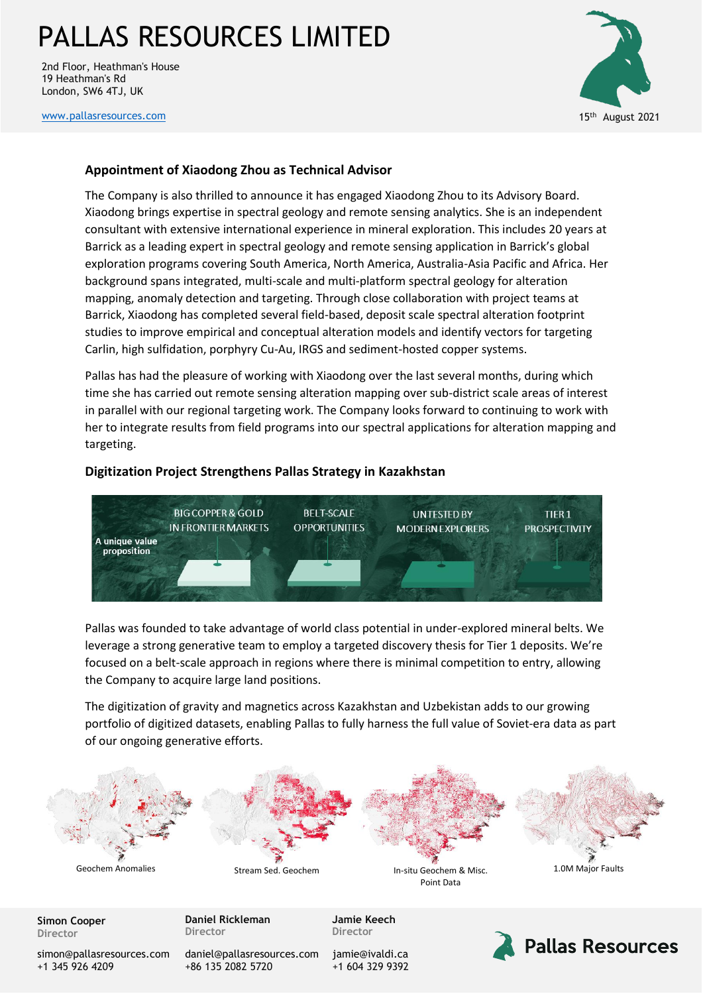# PALLAS RESOURCES LIMITED

2nd Floor, Heathman's House 19 Heathman's Rd London, SW6 4TJ, UK



[www.pallasresources.com](https://www.pallasresources.com/) 15

#### **Appointment of Xiaodong Zhou as Technical Advisor**

The Company is also thrilled to announce it has engaged Xiaodong Zhou to its Advisory Board. Xiaodong brings expertise in spectral geology and remote sensing analytics. She is an independent consultant with extensive international experience in mineral exploration. This includes 20 years at Barrick as a leading expert in spectral geology and remote sensing application in Barrick's global exploration programs covering South America, North America, Australia-Asia Pacific and Africa. Her background spans integrated, multi-scale and multi-platform spectral geology for alteration mapping, anomaly detection and targeting. Through close collaboration with project teams at Barrick, Xiaodong has completed several field-based, deposit scale spectral alteration footprint studies to improve empirical and conceptual alteration models and identify vectors for targeting Carlin, high sulfidation, porphyry Cu-Au, IRGS and sediment-hosted copper systems.

Pallas has had the pleasure of working with Xiaodong over the last several months, during which time she has carried out remote sensing alteration mapping over sub-district scale areas of interest in parallel with our regional targeting work. The Company looks forward to continuing to work with her to integrate results from field programs into our spectral applications for alteration mapping and targeting.

#### **Digitization Project Strengthens Pallas Strategy in Kazakhstan**



Pallas was founded to take advantage of world class potential in under-explored mineral belts. We leverage a strong generative team to employ a targeted discovery thesis for Tier 1 deposits. We're focused on a belt-scale approach in regions where there is minimal competition to entry, allowing the Company to acquire large land positions.

The digitization of gravity and magnetics across Kazakhstan and Uzbekistan adds to our growing portfolio of digitized datasets, enabling Pallas to fully harness the full value of Soviet-era data as part of our ongoing generative efforts.



**Simon Cooper Director**

**Daniel Rickleman Director**

**Jamie Keech Director**

[simon@pallasresources.com](mailto:simon@pallasresources.com) +1 345 926 4209

[daniel@pallasresources.com](mailto:daniel@pallasresources.com) +86 135 2082 5720

[jamie@i](mailto:jamie@pallasresources.com)valdi.ca +1 604 329 9392